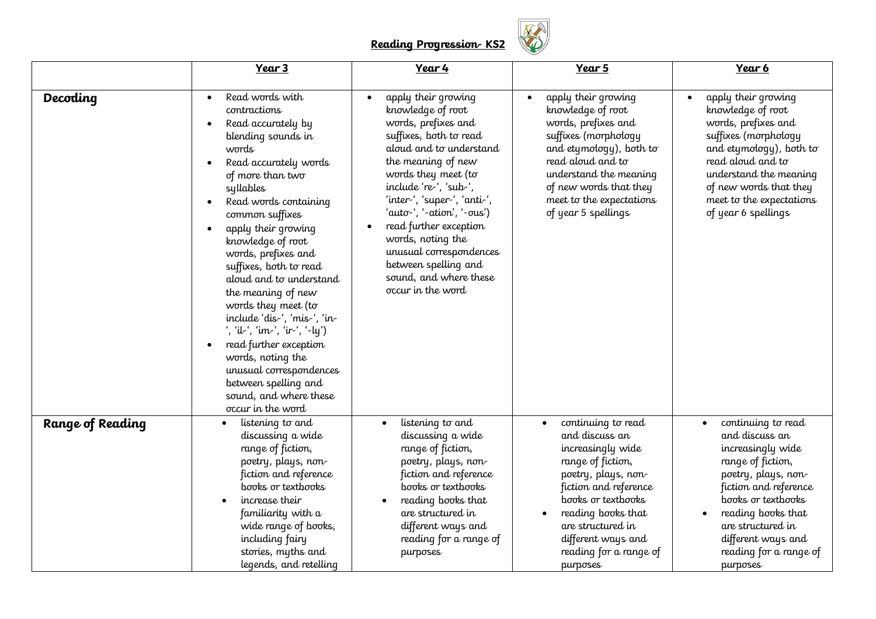## **Reading Progression- KS2**



|                  | Year 3                                                                                                                                                                                                                                                                                                                                                                                                                                                                                                                                                                                          | Year 4                                                                                                                                                                                                                                                                                                                                                                                                                  | Year 5                                                                                                                                                                                                                                                                   | Year 6                                                                                                                                                                                                                                                                   |
|------------------|-------------------------------------------------------------------------------------------------------------------------------------------------------------------------------------------------------------------------------------------------------------------------------------------------------------------------------------------------------------------------------------------------------------------------------------------------------------------------------------------------------------------------------------------------------------------------------------------------|-------------------------------------------------------------------------------------------------------------------------------------------------------------------------------------------------------------------------------------------------------------------------------------------------------------------------------------------------------------------------------------------------------------------------|--------------------------------------------------------------------------------------------------------------------------------------------------------------------------------------------------------------------------------------------------------------------------|--------------------------------------------------------------------------------------------------------------------------------------------------------------------------------------------------------------------------------------------------------------------------|
| Decoding         | Read words with<br>contractions<br>Read accurately by<br>$\bullet$<br>blending sounds in<br>words<br>Read accurately words<br>of more than two<br>syllables<br>Read words containing<br>common suffixes<br>apply their growing<br>knowledge of root<br>words, prefixes and<br>suffixes, both to read<br>aloud and to understand<br>the meaning of new<br>words they meet (to<br>include 'dis-', 'mis-', 'in-<br>', 'il-', 'im-', 'ir-', '-ly')<br>read further exception<br>words, noting the<br>unusual correspondences<br>between spelling and<br>sound, and where these<br>occur in the word | apply their growing<br>knowledge of root<br>words, prefixes and<br>suffixes, both to read<br>aloud and to understand<br>the meaning of new<br>words they meet (to<br>include 're-', 'sub-',<br>'inter-', 'super-', 'anti-',<br>'auto-', '-ation', '-ous')<br>read further exception<br>$\bullet$<br>words, noting the<br>unusual correspondences<br>between spelling and<br>sound, and where these<br>occur in the word | apply their growing<br>$\bullet$<br>knowledge of root<br>words, prefixes and<br>suffixes (morphology<br>and etymology), both to<br>read aloud and to<br>understand the meaning<br>of new words that they<br>meet to the expectations<br>of year 5 spellings              | apply their growing<br>knowledge of root<br>words, prefixes and<br>suffixes (morphology<br>and etymology), both to<br>read aloud and to<br>understand the meaning<br>of new words that they<br>meet to the expectations<br>of year 6 spellings                           |
| Range of Reading | listening to and<br>$\bullet$<br>discussing a wide<br>range of fiction,<br>poetry, plays, non-<br>fiction and reference<br>books or textbooks<br>increase their<br>familiarity with a<br>wide range of books,<br>including fairy<br>stories, myths and<br>legends, and retelling                                                                                                                                                                                                                                                                                                                | listening to and<br>discussing a wide<br>range of fiction,<br>poetry, plays, non-<br>fiction and reference<br>books or textbooks<br>reading books that<br>are structured in<br>different ways and<br>reading for a range of<br>purposes                                                                                                                                                                                 | continuing to read<br>$\bullet$<br>and discuss an<br>increasingly wide<br>range of fiction,<br>poetry, plays, non-<br>fiction and reference<br>books or textbooks<br>reading books that<br>are structured in<br>different ways and<br>reading for a range of<br>purposes | continuing to read<br>$\bullet$<br>and discuss an<br>increasingly wide<br>range of fiction,<br>poetry, plays, non-<br>fiction and reference<br>books or textbooks<br>reading books that<br>are structured in<br>different ways and<br>reading for a range of<br>purposes |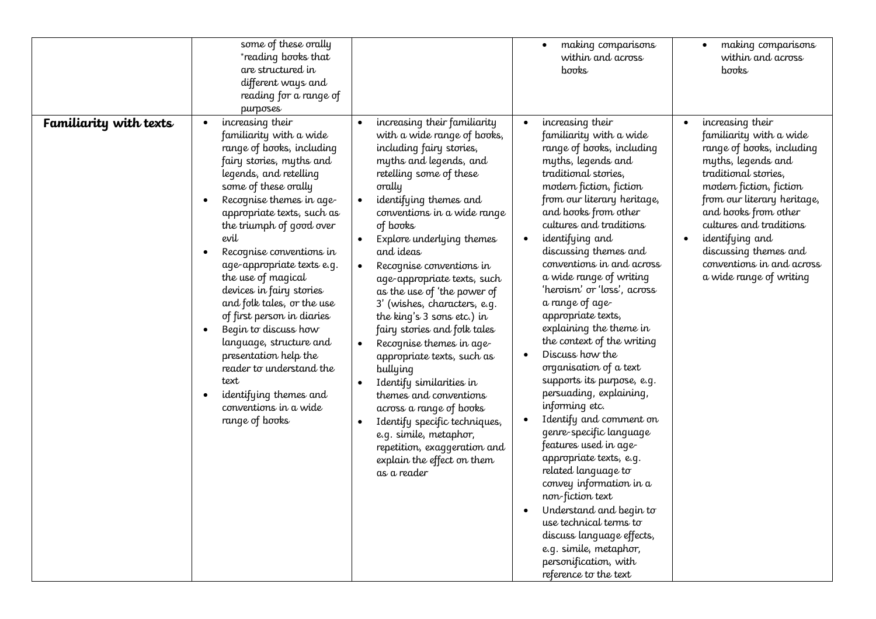|                        | some of these orally<br>*reading books that<br>are structured in<br>different ways and<br>reading for a range of<br>purposes                                                                                                                                                                                                                                                                                                                                                                                                                                                                                                                                               |                                                                                                                                                                                                                                                                                                                                                                                                                                                                                                                                                                                                                                                                                                                                                                           | making comparisons<br>within and across<br>books                                                                                                                                                                                                                                                                                                                                                                                                                                                                                                                                                                                                                                                                                                                                                                                                                                                                                                                                      | making comparisons<br>$\bullet$<br>within and across<br>books                                                                                                                                                                                                                                                                           |
|------------------------|----------------------------------------------------------------------------------------------------------------------------------------------------------------------------------------------------------------------------------------------------------------------------------------------------------------------------------------------------------------------------------------------------------------------------------------------------------------------------------------------------------------------------------------------------------------------------------------------------------------------------------------------------------------------------|---------------------------------------------------------------------------------------------------------------------------------------------------------------------------------------------------------------------------------------------------------------------------------------------------------------------------------------------------------------------------------------------------------------------------------------------------------------------------------------------------------------------------------------------------------------------------------------------------------------------------------------------------------------------------------------------------------------------------------------------------------------------------|---------------------------------------------------------------------------------------------------------------------------------------------------------------------------------------------------------------------------------------------------------------------------------------------------------------------------------------------------------------------------------------------------------------------------------------------------------------------------------------------------------------------------------------------------------------------------------------------------------------------------------------------------------------------------------------------------------------------------------------------------------------------------------------------------------------------------------------------------------------------------------------------------------------------------------------------------------------------------------------|-----------------------------------------------------------------------------------------------------------------------------------------------------------------------------------------------------------------------------------------------------------------------------------------------------------------------------------------|
| Familiarity with texts | increasing their<br>$\bullet$<br>familiarity with a wide<br>range of books, including<br>fairy stories, myths and<br>legends, and retelling<br>some of these orally<br>Recognise themes in age-<br>$\bullet$<br>appropriate texts, such as<br>the triumph of good over<br>evil<br>Recognise conventions in<br>٠<br>age-appropriate texts e.g.<br>the use of magical<br>devices in fairy stories<br>and folk tales, or the use<br>of first person in diaries<br>Begin to discuss how<br>$\bullet$<br>language, structure and<br>presentation help the<br>reader to understand the<br>text<br>identifying themes and<br>$\bullet$<br>conventions in a wide<br>range of books | increasing their familiarity<br>with a wide range of books,<br>including fairy stories,<br>myths and legends, and<br>retelling some of these<br>orally<br>identifying themes and<br>conventions in a wide range<br>of books<br>Explore underlying themes<br>and ideas<br>Recognise conventions in<br>age-appropriate texts, such<br>as the use of 'the power of<br>3' (wishes, characters, e.g.<br>the king's 3 sons etc.) in<br>fairy stories and folk tales<br>Recognise themes in age-<br>appropriate texts, such as<br>bullying<br>Identify similarities in<br>themes and conventions<br>across a range of books<br>Identify specific techniques,<br>$\bullet$<br>e.g. simile, metaphor,<br>repetition, exaggeration and<br>explain the effect on them<br>as a reader | increasing their<br>familiarity with a wide<br>range of books, including<br>myths, legends and<br>traditional stories,<br>modern fiction, fiction<br>from our literary heritage,<br>and books from other<br>cultures and traditions<br>identifying and<br>$\bullet$<br>discussing themes and<br>conventions in and across<br>a wide range of writing<br>'heroism' or 'loss', across<br>a range of age-<br>appropriate texts,<br>explaining the theme in<br>the context of the writing<br>Discuss how the<br>$\bullet$<br>organisation of a text<br>supports its purpose, e.g.<br>persuading, explaining,<br>informing etc.<br>Identify and comment on<br>$\bullet$<br>genre-specific language<br>features used in age-<br>appropriate texts, e.g.<br>related language to<br>convey information in a<br>non-fiction text<br>Understand and begin to<br>use technical terms to<br>discuss language effects,<br>e.g. simile, metaphor,<br>personification, with<br>reference to the text | increasing their<br>familiarity with a wide<br>range of books, including<br>myths, legends and<br>traditional stories,<br>modern fiction, fiction<br>from our literary heritage,<br>and books from other<br>cultures and traditions<br>identifying and<br>discussing themes and<br>conventions in and across<br>a wide range of writing |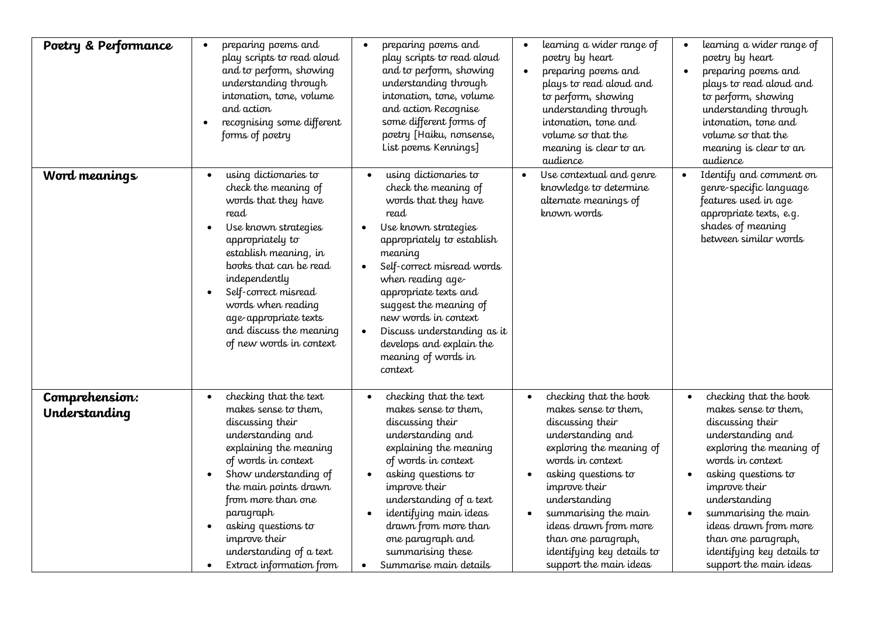| Poetry & Performance            | preparing poems and<br>$\bullet$<br>play scripts to read aloud<br>and to perform, showing<br>understanding through<br>intonation, tone, volume<br>and action<br>recognising some different<br>$\bullet$<br>forms of poetry                                                                                                              | preparing poems and<br>play scripts to read aloud<br>and to perform, showing<br>understanding through<br>intonation, tone, volume<br>and action Recognise<br>some different forms of<br>poetry [Haiku, nonsense,<br>List poems Kennings]                                                                                                                                                            | learning a wider range of<br>$\bullet$<br>poetry by heart<br>preparing poems and<br>$\bullet$<br>plays to read aloud and<br>to perform, showing<br>understanding through<br>intonation, tone and<br>volume so that the<br>meaning is clear to an<br>audience                                                                                                            | learning a wider range of<br>poetry by heart<br>preparing poems and<br>plays to read aloud and<br>to perform, showing<br>understanding through<br>intonation, tone and<br>volume so that the<br>meaning is clear to an<br>audience                                                                                                            |
|---------------------------------|-----------------------------------------------------------------------------------------------------------------------------------------------------------------------------------------------------------------------------------------------------------------------------------------------------------------------------------------|-----------------------------------------------------------------------------------------------------------------------------------------------------------------------------------------------------------------------------------------------------------------------------------------------------------------------------------------------------------------------------------------------------|-------------------------------------------------------------------------------------------------------------------------------------------------------------------------------------------------------------------------------------------------------------------------------------------------------------------------------------------------------------------------|-----------------------------------------------------------------------------------------------------------------------------------------------------------------------------------------------------------------------------------------------------------------------------------------------------------------------------------------------|
| Word meanings                   | using dictionaries to<br>$\bullet$<br>check the meaning of<br>words that they have<br>read<br>Use known strategies<br>appropriately to<br>establish meaning, in<br>books that can be read<br>independently<br>Self-correct misread<br>words when reading<br>age-appropriate texts<br>and discuss the meaning<br>of new words in context | using dictionaries to<br>check the meaning of<br>words that they have<br>read<br>Use known strategies<br>appropriately to establish<br>meaning<br>Self-correct misread words<br>$\bullet$<br>when reading age-<br>appropriate texts and<br>suggest the meaning of<br>new words in context<br>Discuss understanding as it<br>$\bullet$<br>develops and explain the<br>meaning of words in<br>context | Use contextual and genre<br>$\bullet$<br>knowledge to determine<br>alternate meanings of<br>known words                                                                                                                                                                                                                                                                 | Identify and comment on<br>genre-specific language<br>features used in age<br>appropriate texts, e.g.<br>shades of meaning<br>between similar words                                                                                                                                                                                           |
| Comprehension:<br>Understanding | checking that the text<br>makes sense to them,<br>discussing their<br>understanding and<br>explaining the meaning<br>of words in context<br>Show understanding of<br>the main points drawn<br>from more than one<br>paragraph<br>asking questions to<br>improve their<br>understanding of a text<br>Extract information from            | checking that the text<br>makes sense to them,<br>discussing their<br>understanding and<br>explaining the meaning<br>of words in context<br>asking questions to<br>improve their<br>understanding of a text<br>identifying main ideas<br>drawn from more than<br>one paragraph and<br>summarising these<br>Summarise main details<br>$\bullet$                                                      | checking that the book<br>$\bullet$<br>makes sense to them,<br>discussing their<br>understanding and<br>exploring the meaning of<br>words in context<br>asking questions to<br>$\bullet$<br>improve their<br>understanding<br>summarising the main<br>$\bullet$<br>ideas drawn from more<br>than one paragraph,<br>identifying key details to<br>support the main ideas | checking that the book<br>$\bullet$<br>makes sense to them,<br>discussing their<br>understanding and<br>exploring the meaning of<br>words in context<br>asking questions to<br>improve their<br>understanding<br>summarising the main<br>ideas drawn from more<br>than one paragraph,<br>identifying key details to<br>support the main ideas |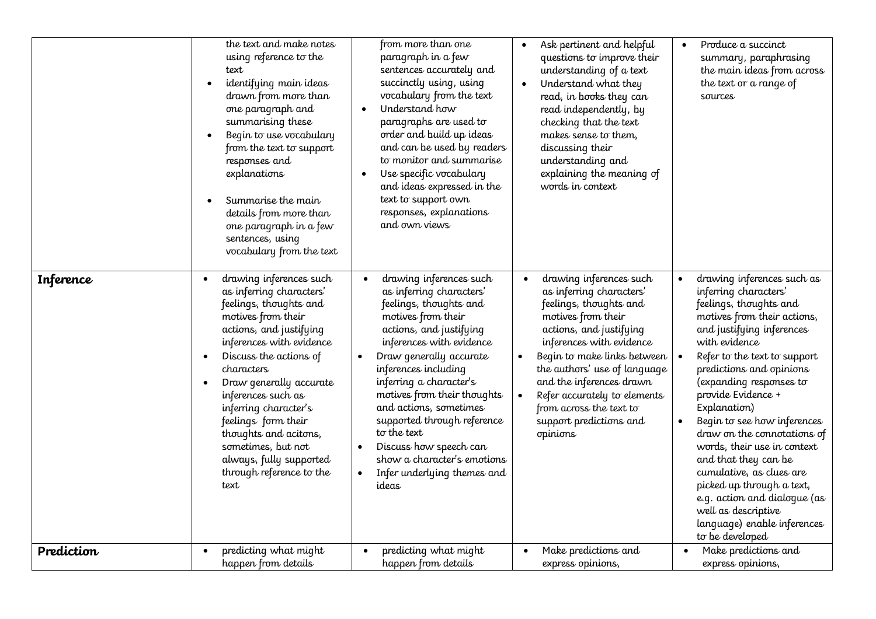|            | the text and make notes<br>using reference to the<br>text<br>identifying main ideas<br>drawn from more than<br>one paragraph and<br>summarising these<br>Begin to use vocabulary<br>from the text to support<br>responses and<br>explanations<br>Summarise the main<br>details from more than<br>one paragraph in a few<br>sentences, using<br>vocabulary from the text                                                        | from more than one<br>paragraph in a few<br>sentences accurately and<br>succinctly using, using<br>vocabulary from the text<br>Understand how<br>$\bullet$<br>paragraphs are used to<br>order and build up ideas<br>and can be used by readers<br>to monitor and summarise<br>Use specific vocabulary<br>$\bullet$<br>and ideas expressed in the<br>text to support own<br>responses, explanations<br>and own views                                                                     | Ask pertinent and helpful<br>questions to improve their<br>understanding of a text<br>Understand what they<br>$\bullet$<br>read, in books they can<br>read independently, by<br>checking that the text<br>makes sense to them,<br>discussing their<br>understanding and<br>explaining the meaning of<br>words in context                                                                   | Produce a succinct<br>summary, paraphrasing<br>the main ideas from across<br>the text or a range of<br>sources                                                                                                                                                                                                                                                                                                                                                                                                                                                                              |
|------------|--------------------------------------------------------------------------------------------------------------------------------------------------------------------------------------------------------------------------------------------------------------------------------------------------------------------------------------------------------------------------------------------------------------------------------|-----------------------------------------------------------------------------------------------------------------------------------------------------------------------------------------------------------------------------------------------------------------------------------------------------------------------------------------------------------------------------------------------------------------------------------------------------------------------------------------|--------------------------------------------------------------------------------------------------------------------------------------------------------------------------------------------------------------------------------------------------------------------------------------------------------------------------------------------------------------------------------------------|---------------------------------------------------------------------------------------------------------------------------------------------------------------------------------------------------------------------------------------------------------------------------------------------------------------------------------------------------------------------------------------------------------------------------------------------------------------------------------------------------------------------------------------------------------------------------------------------|
| Inference  | drawing inferences such<br>as inferring characters'<br>feelings, thoughts and<br>motives from their<br>actions, and justifying<br>inferences with evidence<br>Discuss the actions of<br>$\bullet$<br>characters<br>Draw generally accurate<br>inferences such as<br>inferring character's<br>feelings form their<br>thoughts and acitons,<br>sometimes, but not<br>always, fully supported<br>through reference to the<br>text | drawing inferences such<br>as inferring characters'<br>feelings, thoughts and<br>motives from their<br>actions, and justifying<br>inferences with evidence<br>Draw generally accurate<br>$\bullet$<br>inferences including<br>inferring a character's<br>motives from their thoughts<br>and actions, sometimes<br>supported through reference<br>to the text<br>Discuss how speech can<br>$\bullet$<br>show a character's emotions<br>Infer underlying themes and<br>$\bullet$<br>ideas | drawing inferences such<br>$\bullet$<br>as inferring characters'<br>feelings, thoughts and<br>motives from their<br>actions, and justifying<br>inferences with evidence<br>Begin to make links between $\vert \bullet \vert$<br>the authors' use of language<br>and the inferences drawn<br>Refer accurately to elements<br>from across the text to<br>support predictions and<br>opinions | drawing inferences such as<br>inferring characters'<br>feelings, thoughts and<br>motives from their actions,<br>and justifying inferences<br>with evidence<br>Refer to the text to support<br>predictions and opinions<br>(expanding responses to<br>provide Evidence +<br>Explanation)<br>Begin to see how inferences<br>$\bullet$<br>draw on the connotations of<br>words, their use in context<br>and that they can be<br>cumulative, as clues are<br>picked up through a text,<br>e.g. action and dialogue (as<br>well as descriptive<br>language) enable inferences<br>to be developed |
| Prediction | predicting what might<br>happen from details                                                                                                                                                                                                                                                                                                                                                                                   | predicting what might<br>happen from details                                                                                                                                                                                                                                                                                                                                                                                                                                            | Make predictions and<br>$\bullet$<br>express opinions,                                                                                                                                                                                                                                                                                                                                     | Make predictions and<br>express opinions,                                                                                                                                                                                                                                                                                                                                                                                                                                                                                                                                                   |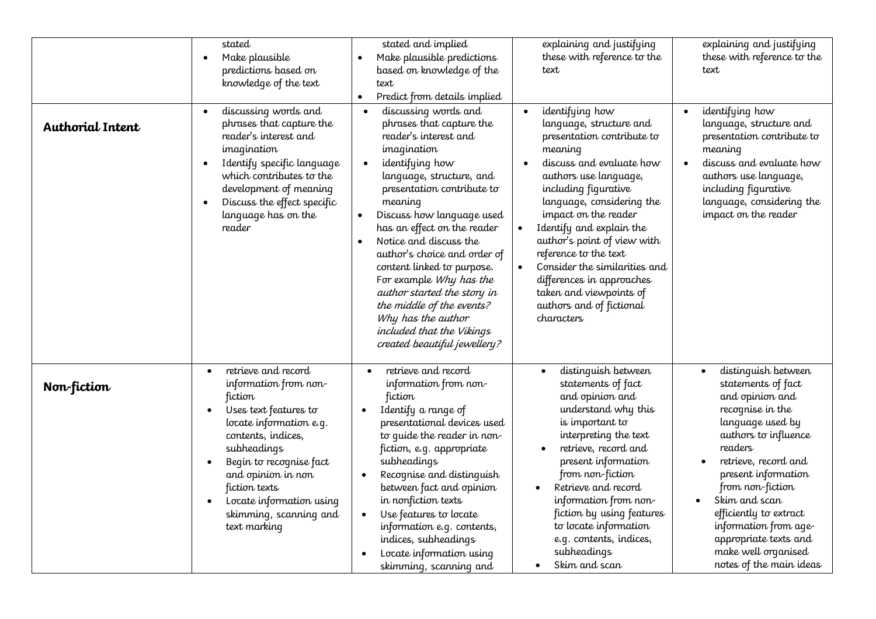| <b>Authorial Intent</b> | stated<br>Make plausible<br>$\bullet$<br>predictions based on<br>knowledge of the text<br>discussing words and<br>$\bullet$<br>phrases that capture the<br>reader's interest and<br>imagination<br>Identify specific language<br>$\bullet$<br>which contributes to the<br>development of meaning<br>Discuss the effect specific<br>$\bullet$<br>language has on the<br>reader | stated and implied<br>Make plausible predictions<br>based on knowledge of the<br>text<br>Predict from details implied<br>discussing words and<br>$\bullet$<br>phrases that capture the<br>reader's interest and<br>imagination<br>identifying how<br>language, structure, and<br>presentation contribute to<br>meaning<br>Discuss how language used<br>has an effect on the reader<br>Notice and discuss the<br>$\bullet$<br>author's choice and order of<br>content linked to purpose.<br>For example Why has the<br>author started the story in<br>the middle of the events?<br>Why has the author<br>included that the Vikings<br>created beautiful jewellery? | explaining and justifying<br>these with reference to the<br>text<br>identifying how<br>$\bullet$<br>language, structure and<br>presentation contribute to<br>meaning<br>discuss and evaluate how<br>$\bullet$<br>authors use language,<br>including figurative<br>language, considering the<br>impact on the reader<br>Identify and explain the<br>author's point of view with<br>reference to the text<br>Consider the similarities and<br>$\bullet$<br>differences in approaches<br>taken and viewpoints of<br>authors and of fictional<br>characters | explaining and justifying<br>these with reference to the<br>text<br>identifying how<br>language, structure and<br>presentation contribute to<br>meaning<br>discuss and evaluate how<br>authors use language,<br>including figurative<br>language, considering the<br>impact on the reader                                                                                                        |
|-------------------------|-------------------------------------------------------------------------------------------------------------------------------------------------------------------------------------------------------------------------------------------------------------------------------------------------------------------------------------------------------------------------------|-------------------------------------------------------------------------------------------------------------------------------------------------------------------------------------------------------------------------------------------------------------------------------------------------------------------------------------------------------------------------------------------------------------------------------------------------------------------------------------------------------------------------------------------------------------------------------------------------------------------------------------------------------------------|---------------------------------------------------------------------------------------------------------------------------------------------------------------------------------------------------------------------------------------------------------------------------------------------------------------------------------------------------------------------------------------------------------------------------------------------------------------------------------------------------------------------------------------------------------|--------------------------------------------------------------------------------------------------------------------------------------------------------------------------------------------------------------------------------------------------------------------------------------------------------------------------------------------------------------------------------------------------|
| Non-fiction             | retrieve and record<br>$\bullet$<br>information from non-<br>fiction<br>Uses text features to<br>locate information e.g.<br>contents, indices,<br>subheadings<br>Begin to recognise fact<br>and opinion in non<br>fiction texts<br>Locate information using<br>skimming, scanning and<br>text marking                                                                         | retrieve and record<br>information from non-<br>fiction<br>Identify a range of<br>presentational devices used<br>to quide the reader in non-<br>fiction, e.g. appropriate<br>subheadings<br>Recognise and distinguish<br>$\bullet$<br>between fact and opinion<br>in nonfiction texts<br>Use features to locate<br>information e.g. contents,<br>indices, subheadings<br>Locate information using<br>skimming, scanning and                                                                                                                                                                                                                                       | distinguish between<br>statements of fact<br>and opinion and<br>understand why this<br>is important to<br>interpreting the text<br>retrieve, record and<br>present information<br>from non-fiction<br>Retrieve and record<br>information from non-<br>fiction by using features<br>to locate information<br>e.g. contents, indices,<br>subheadings<br>Skim and scan<br>$\bullet$                                                                                                                                                                        | distinguish between<br>$\bullet$<br>statements of fact<br>and opinion and<br>recognise in the<br>language used by<br>authors to influence<br>readers<br>retrieve, record and<br>$\bullet$<br>present information<br>from non-fiction<br>Skim and scan<br>$\bullet$<br>efficiently to extract<br>information from age-<br>appropriate texts and<br>make well organised<br>notes of the main ideas |